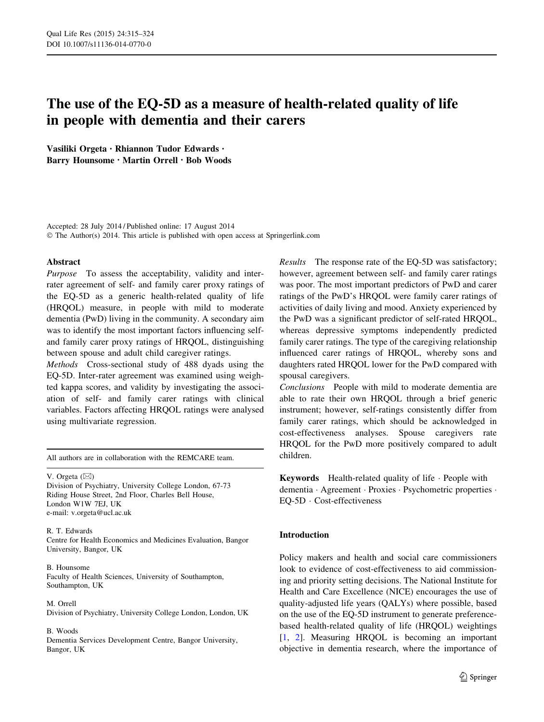# The use of the EQ-5D as a measure of health-related quality of life in people with dementia and their carers

Vasiliki Orgeta • Rhiannon Tudor Edwards • Barry Hounsome • Martin Orrell • Bob Woods

Accepted: 28 July 2014 / Published online: 17 August 2014 © The Author(s) 2014. This article is published with open access at Springerlink.com

# Abstract

Purpose To assess the acceptability, validity and interrater agreement of self- and family carer proxy ratings of the EQ-5D as a generic health-related quality of life (HRQOL) measure, in people with mild to moderate dementia (PwD) living in the community. A secondary aim was to identify the most important factors influencing selfand family carer proxy ratings of HRQOL, distinguishing between spouse and adult child caregiver ratings.

Methods Cross-sectional study of 488 dyads using the EQ-5D. Inter-rater agreement was examined using weighted kappa scores, and validity by investigating the association of self- and family carer ratings with clinical variables. Factors affecting HRQOL ratings were analysed using multivariate regression.

All authors are in collaboration with the REMCARE team.

V. Orgeta  $(\boxtimes)$ 

Division of Psychiatry, University College London, 67-73 Riding House Street, 2nd Floor, Charles Bell House, London W1W 7EJ, UK e-mail: v.orgeta@ucl.ac.uk

R. T. Edwards

Centre for Health Economics and Medicines Evaluation, Bangor University, Bangor, UK

#### B. Hounsome

Faculty of Health Sciences, University of Southampton, Southampton, UK

#### M. Orrell

Division of Psychiatry, University College London, London, UK

#### B. Woods

Dementia Services Development Centre, Bangor University, Bangor, UK

Results The response rate of the EQ-5D was satisfactory; however, agreement between self- and family carer ratings was poor. The most important predictors of PwD and carer ratings of the PwD's HRQOL were family carer ratings of activities of daily living and mood. Anxiety experienced by the PwD was a significant predictor of self-rated HRQOL, whereas depressive symptoms independently predicted family carer ratings. The type of the caregiving relationship influenced carer ratings of HRQOL, whereby sons and daughters rated HRQOL lower for the PwD compared with spousal caregivers.

Conclusions People with mild to moderate dementia are able to rate their own HRQOL through a brief generic instrument; however, self-ratings consistently differ from family carer ratings, which should be acknowledged in cost-effectiveness analyses. Spouse caregivers rate HRQOL for the PwD more positively compared to adult children.

Keywords Health-related quality of life - People with dementia · Agreement · Proxies · Psychometric properties · EQ-5D - Cost-effectiveness

# Introduction

Policy makers and health and social care commissioners look to evidence of cost-effectiveness to aid commissioning and priority setting decisions. The National Institute for Health and Care Excellence (NICE) encourages the use of quality-adjusted life years (QALYs) where possible, based on the use of the EQ-5D instrument to generate preferencebased health-related quality of life (HRQOL) weightings [\[1](#page-8-0), [2](#page-8-0)]. Measuring HRQOL is becoming an important objective in dementia research, where the importance of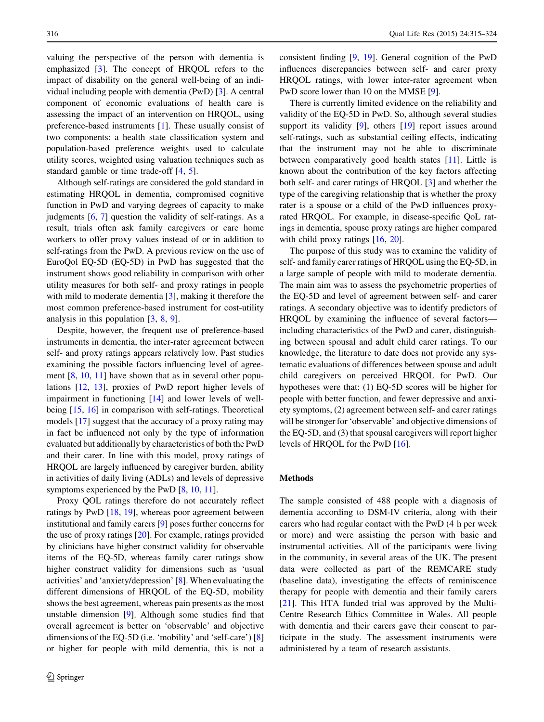valuing the perspective of the person with dementia is emphasized [\[3](#page-8-0)]. The concept of HRQOL refers to the impact of disability on the general well-being of an individual including people with dementia (PwD) [\[3](#page-8-0)]. A central component of economic evaluations of health care is assessing the impact of an intervention on HRQOL, using preference-based instruments [\[1](#page-8-0)]. These usually consist of two components: a health state classification system and population-based preference weights used to calculate utility scores, weighted using valuation techniques such as standard gamble or time trade-off [[4,](#page-8-0) [5](#page-8-0)].

Although self-ratings are considered the gold standard in estimating HRQOL in dementia, compromised cognitive function in PwD and varying degrees of capacity to make judgments  $[6, 7]$  $[6, 7]$  $[6, 7]$  question the validity of self-ratings. As a result, trials often ask family caregivers or care home workers to offer proxy values instead of or in addition to self-ratings from the PwD. A previous review on the use of EuroQol EQ-5D (EQ-5D) in PwD has suggested that the instrument shows good reliability in comparison with other utility measures for both self- and proxy ratings in people with mild to moderate dementia [[3\]](#page-8-0), making it therefore the most common preference-based instrument for cost-utility analysis in this population [[3,](#page-8-0) [8,](#page-8-0) [9\]](#page-8-0).

Despite, however, the frequent use of preference-based instruments in dementia, the inter-rater agreement between self- and proxy ratings appears relatively low. Past studies examining the possible factors influencing level of agree-ment [\[8](#page-8-0), [10,](#page-8-0) [11](#page-8-0)] have shown that as in several other populations [[12,](#page-8-0) [13\]](#page-8-0), proxies of PwD report higher levels of impairment in functioning [\[14](#page-8-0)] and lower levels of wellbeing [[15,](#page-8-0) [16](#page-8-0)] in comparison with self-ratings. Theoretical models [[17\]](#page-8-0) suggest that the accuracy of a proxy rating may in fact be influenced not only by the type of information evaluated but additionally by characteristics of both the PwD and their carer. In line with this model, proxy ratings of HRQOL are largely influenced by caregiver burden, ability in activities of daily living (ADLs) and levels of depressive symptoms experienced by the PwD [\[8](#page-8-0), [10](#page-8-0), [11](#page-8-0)].

Proxy QOL ratings therefore do not accurately reflect ratings by PwD [\[18](#page-9-0), [19](#page-9-0)], whereas poor agreement between institutional and family carers [[9\]](#page-8-0) poses further concerns for the use of proxy ratings [[20\]](#page-9-0). For example, ratings provided by clinicians have higher construct validity for observable items of the EQ-5D, whereas family carer ratings show higher construct validity for dimensions such as 'usual activities' and 'anxiety/depression' [\[8](#page-8-0)]. When evaluating the different dimensions of HRQOL of the EQ-5D, mobility shows the best agreement, whereas pain presents as the most unstable dimension [[9](#page-8-0)]. Although some studies find that overall agreement is better on 'observable' and objective dimensions of the EQ-5D (i.e. 'mobility' and 'self-care') [[8\]](#page-8-0) or higher for people with mild dementia, this is not a consistent finding [\[9](#page-8-0), [19\]](#page-9-0). General cognition of the PwD influences discrepancies between self- and carer proxy HRQOL ratings, with lower inter-rater agreement when PwD score lower than 10 on the MMSE [[9\]](#page-8-0).

There is currently limited evidence on the reliability and validity of the EQ-5D in PwD. So, although several studies support its validity [[9\]](#page-8-0), others [\[19](#page-9-0)] report issues around self-ratings, such as substantial ceiling effects, indicating that the instrument may not be able to discriminate between comparatively good health states [[11\]](#page-8-0). Little is known about the contribution of the key factors affecting both self- and carer ratings of HRQOL [[3\]](#page-8-0) and whether the type of the caregiving relationship that is whether the proxy rater is a spouse or a child of the PwD influences proxyrated HRQOL. For example, in disease-specific QoL ratings in dementia, spouse proxy ratings are higher compared with child proxy ratings [\[16](#page-8-0), [20\]](#page-9-0).

The purpose of this study was to examine the validity of self- and family carer ratings of HRQOL using the EQ-5D, in a large sample of people with mild to moderate dementia. The main aim was to assess the psychometric properties of the EQ-5D and level of agreement between self- and carer ratings. A secondary objective was to identify predictors of HRQOL by examining the influence of several factors including characteristics of the PwD and carer, distinguishing between spousal and adult child carer ratings. To our knowledge, the literature to date does not provide any systematic evaluations of differences between spouse and adult child caregivers on perceived HRQOL for PwD. Our hypotheses were that: (1) EQ-5D scores will be higher for people with better function, and fewer depressive and anxiety symptoms, (2) agreement between self- and carer ratings will be stronger for 'observable' and objective dimensions of the EQ-5D, and (3) that spousal caregivers will report higher levels of HRQOL for the PwD [\[16](#page-8-0)].

# Methods

The sample consisted of 488 people with a diagnosis of dementia according to DSM-IV criteria, along with their carers who had regular contact with the PwD (4 h per week or more) and were assisting the person with basic and instrumental activities. All of the participants were living in the community, in several areas of the UK. The present data were collected as part of the REMCARE study (baseline data), investigating the effects of reminiscence therapy for people with dementia and their family carers [\[21](#page-9-0)]. This HTA funded trial was approved by the Multi-Centre Research Ethics Committee in Wales. All people with dementia and their carers gave their consent to participate in the study. The assessment instruments were administered by a team of research assistants.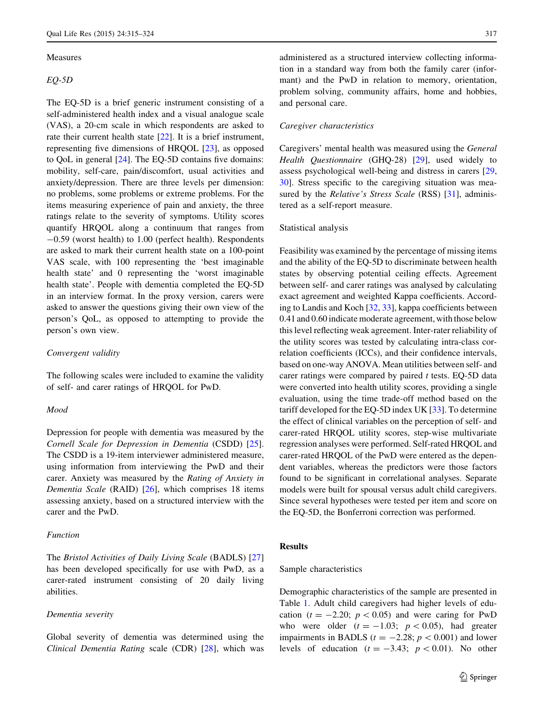#### Measures

EQ-5D

The EQ-5D is a brief generic instrument consisting of a self-administered health index and a visual analogue scale (VAS), a 20-cm scale in which respondents are asked to rate their current health state [\[22](#page-9-0)]. It is a brief instrument, representing five dimensions of HRQOL [[23\]](#page-9-0), as opposed to QoL in general [\[24](#page-9-0)]. The EQ-5D contains five domains: mobility, self-care, pain/discomfort, usual activities and anxiety/depression. There are three levels per dimension: no problems, some problems or extreme problems. For the items measuring experience of pain and anxiety, the three ratings relate to the severity of symptoms. Utility scores quantify HRQOL along a continuum that ranges from -0.59 (worst health) to 1.00 (perfect health). Respondents are asked to mark their current health state on a 100-point VAS scale, with 100 representing the 'best imaginable health state' and 0 representing the 'worst imaginable health state'. People with dementia completed the EQ-5D in an interview format. In the proxy version, carers were asked to answer the questions giving their own view of the person's QoL, as opposed to attempting to provide the person's own view.

#### Convergent validity

The following scales were included to examine the validity of self- and carer ratings of HRQOL for PwD.

# Mood

Depression for people with dementia was measured by the Cornell Scale for Depression in Dementia (CSDD) [\[25](#page-9-0)]. The CSDD is a 19-item interviewer administered measure, using information from interviewing the PwD and their carer. Anxiety was measured by the Rating of Anxiety in Dementia Scale (RAID) [\[26](#page-9-0)], which comprises 18 items assessing anxiety, based on a structured interview with the carer and the PwD.

# Function

The Bristol Activities of Daily Living Scale (BADLS) [[27\]](#page-9-0) has been developed specifically for use with PwD, as a carer-rated instrument consisting of 20 daily living abilities.

#### Dementia severity

Global severity of dementia was determined using the Clinical Dementia Rating scale (CDR) [[28\]](#page-9-0), which was administered as a structured interview collecting information in a standard way from both the family carer (informant) and the PwD in relation to memory, orientation, problem solving, community affairs, home and hobbies, and personal care.

#### Caregiver characteristics

Caregivers' mental health was measured using the General Health Questionnaire (GHQ-28) [\[29](#page-9-0)], used widely to assess psychological well-being and distress in carers [[29,](#page-9-0) [30](#page-9-0)]. Stress specific to the caregiving situation was measured by the *Relative's Stress Scale* (RSS) [[31\]](#page-9-0), administered as a self-report measure.

# Statistical analysis

Feasibility was examined by the percentage of missing items and the ability of the EQ-5D to discriminate between health states by observing potential ceiling effects. Agreement between self- and carer ratings was analysed by calculating exact agreement and weighted Kappa coefficients. According to Landis and Koch [\[32,](#page-9-0) [33\]](#page-9-0), kappa coefficients between 0.41 and 0.60 indicate moderate agreement, with those below this level reflecting weak agreement. Inter-rater reliability of the utility scores was tested by calculating intra-class correlation coefficients (ICCs), and their confidence intervals, based on one-way ANOVA. Mean utilities between self- and carer ratings were compared by paired  $t$  tests. EQ-5D data were converted into health utility scores, providing a single evaluation, using the time trade-off method based on the tariff developed for the EQ-5D index UK [\[33](#page-9-0)]. To determine the effect of clinical variables on the perception of self- and carer-rated HRQOL utility scores, step-wise multivariate regression analyses were performed. Self-rated HRQOL and carer-rated HRQOL of the PwD were entered as the dependent variables, whereas the predictors were those factors found to be significant in correlational analyses. Separate models were built for spousal versus adult child caregivers. Since several hypotheses were tested per item and score on the EQ-5D, the Bonferroni correction was performed.

#### Results

#### Sample characteristics

Demographic characteristics of the sample are presented in Table [1](#page-3-0). Adult child caregivers had higher levels of education ( $t = -2.20$ ;  $p < 0.05$ ) and were caring for PwD who were older  $(t = -1.03; p < 0.05)$ , had greater impairments in BADLS ( $t = -2.28$ ;  $p < 0.001$ ) and lower levels of education  $(t = -3.43; p < 0.01)$ . No other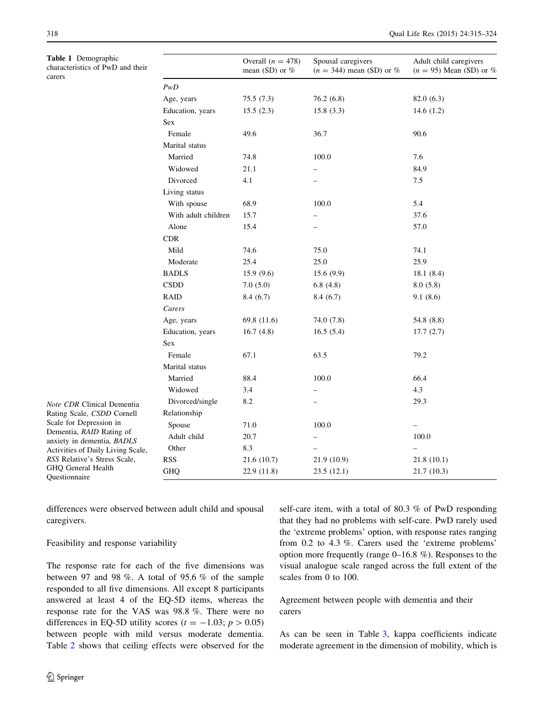<span id="page-3-0"></span>Table 1 Demographic characteristics of PwD and their carers

|                     | Overall $(n = 478)$<br>mean (SD) or $%$ | Spousal caregivers<br>$(n = 344)$ mean (SD) or % | Adult child caregivers<br>$(n = 95)$ Mean (SD) or % |
|---------------------|-----------------------------------------|--------------------------------------------------|-----------------------------------------------------|
| PwD                 |                                         |                                                  |                                                     |
| Age, years          | 75.5 (7.3)                              | 76.2(6.8)                                        | 82.0 (6.3)                                          |
| Education, years    | 15.5(2.3)                               | 15.8(3.3)                                        | 14.6(1.2)                                           |
| Sex                 |                                         |                                                  |                                                     |
| Female              | 49.6                                    | 36.7                                             | 90.6                                                |
| Marital status      |                                         |                                                  |                                                     |
| Married             | 74.8                                    | 100.0                                            | 7.6                                                 |
| Widowed             | 21.1                                    |                                                  | 84.9                                                |
| Divorced            | 4.1                                     |                                                  | 7.5                                                 |
| Living status       |                                         |                                                  |                                                     |
| With spouse         | 68.9                                    | 100.0                                            | 5.4                                                 |
| With adult children | 15.7                                    |                                                  | 37.6                                                |
| Alone               | 15.4                                    |                                                  | 57.0                                                |
| <b>CDR</b>          |                                         |                                                  |                                                     |
| Mild                | 74.6                                    | 75.0                                             | 74.1                                                |
| Moderate            | 25.4                                    | 25.0                                             | 25.9                                                |
| <b>BADLS</b>        | 15.9(9.6)                               | 15.6(9.9)                                        | 18.1(8.4)                                           |
| <b>CSDD</b>         | 7.0(5.0)                                | 6.8(4.8)                                         | 8.0(5.8)                                            |
| <b>RAID</b>         | 8.4(6.7)                                | 8.4(6.7)                                         | 9.1(8.6)                                            |
| Carers              |                                         |                                                  |                                                     |
| Age, years          | 69.8 (11.6)                             | 74.0 (7.8)                                       | 54.8 (8.8)                                          |
| Education, years    | 16.7(4.8)                               | 16.5(5.4)                                        | 17.7(2.7)                                           |
| <b>Sex</b>          |                                         |                                                  |                                                     |
| Female              | 67.1                                    | 63.5                                             | 79.2                                                |
| Marital status      |                                         |                                                  |                                                     |
| Married             | 88.4                                    | 100.0                                            | 66.4                                                |
| Widowed             | 3.4                                     |                                                  | 4.3                                                 |
| Divorced/single     | 8.2                                     |                                                  | 29.3                                                |
| Relationship        |                                         |                                                  |                                                     |
| Spouse              | 71.0                                    | 100.0                                            |                                                     |
| Adult child         | 20.7                                    |                                                  | 100.0                                               |
| Other               | 8.3                                     |                                                  |                                                     |
| <b>RSS</b>          | 21.6(10.7)                              | 21.9 (10.9)                                      | 21.8(10.1)                                          |
| <b>GHQ</b>          | 22.9 (11.8)                             | 23.5(12.1)                                       | 21.7 (10.3)                                         |

Note CDR Clinical Dementia Rating Scale, CSDD Cornell Scale for Depression in Dementia, RAID Rating of anxiety in dementia, BADLS Activities of Daily Living Scale, RSS Relative's Stress Scale, GHQ General Health Questionnaire

differences were observed between adult child and spousal caregivers.

# Feasibility and response variability

The response rate for each of the five dimensions was between 97 and 98 %. A total of 95.6 % of the sample responded to all five dimensions. All except 8 participants answered at least 4 of the EQ-5D items, whereas the response rate for the VAS was 98.8 %. There were no differences in EQ-5D utility scores ( $t = -1.03$ ;  $p > 0.05$ ) between people with mild versus moderate dementia. Table [2](#page-4-0) shows that ceiling effects were observed for the self-care item, with a total of 80.3 % of PwD responding that they had no problems with self-care. PwD rarely used the 'extreme problems' option, with response rates ranging from 0.2 to 4.3 %. Carers used the 'extreme problems' option more frequently (range 0–16.8 %). Responses to the visual analogue scale ranged across the full extent of the scales from 0 to 100.

# Agreement between people with dementia and their carers

As can be seen in Table [3,](#page-5-0) kappa coefficients indicate moderate agreement in the dimension of mobility, which is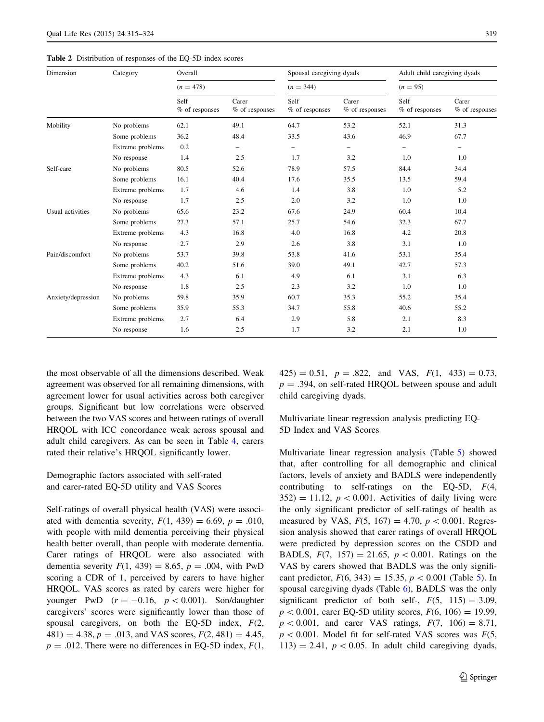<span id="page-4-0"></span>Table 2 Distribution of responses of the EQ-5D index scores

| Dimension          | Category         | Overall                |                         | Spousal caregiving dyads |                         | Adult child caregiving dyads |                           |
|--------------------|------------------|------------------------|-------------------------|--------------------------|-------------------------|------------------------------|---------------------------|
|                    |                  | $(n = 478)$            |                         | $(n = 344)$              |                         | $(n = 95)$                   |                           |
|                    |                  | Self<br>% of responses | Carer<br>% of responses | Self<br>$%$ of responses | Carer<br>% of responses | Self<br>$%$ of responses     | Carer<br>$%$ of responses |
| Mobility           | No problems      | 62.1                   | 49.1                    | 64.7                     | 53.2                    | 52.1                         | 31.3                      |
|                    | Some problems    | 36.2                   | 48.4                    | 33.5                     | 43.6                    | 46.9                         | 67.7                      |
|                    | Extreme problems | 0.2                    | $\qquad \qquad -$       | $\equiv$                 | $\equiv$                | $\equiv$                     | $\qquad \qquad =$         |
|                    | No response      | 1.4                    | 2.5                     | 1.7                      | 3.2                     | 1.0                          | 1.0                       |
| Self-care          | No problems      | 80.5                   | 52.6                    | 78.9                     | 57.5                    | 84.4                         | 34.4                      |
|                    | Some problems    | 16.1                   | 40.4                    | 17.6                     | 35.5                    | 13.5                         | 59.4                      |
|                    | Extreme problems | 1.7                    | 4.6                     | 1.4                      | 3.8                     | 1.0                          | 5.2                       |
|                    | No response      | 1.7                    | 2.5                     | 2.0                      | 3.2                     | 1.0                          | 1.0                       |
| Usual activities   | No problems      | 65.6                   | 23.2                    | 67.6                     | 24.9                    | 60.4                         | 10.4                      |
|                    | Some problems    | 27.3                   | 57.1                    | 25.7                     | 54.6                    | 32.3                         | 67.7                      |
|                    | Extreme problems | 4.3                    | 16.8                    | 4.0                      | 16.8                    | 4.2                          | 20.8                      |
|                    | No response      | 2.7                    | 2.9                     | 2.6                      | 3.8                     | 3.1                          | 1.0                       |
| Pain/discomfort    | No problems      | 53.7                   | 39.8                    | 53.8                     | 41.6                    | 53.1                         | 35.4                      |
|                    | Some problems    | 40.2                   | 51.6                    | 39.0                     | 49.1                    | 42.7                         | 57.3                      |
|                    | Extreme problems | 4.3                    | 6.1                     | 4.9                      | 6.1                     | 3.1                          | 6.3                       |
|                    | No response      | 1.8                    | 2.5                     | 2.3                      | 3.2                     | 1.0                          | 1.0                       |
| Anxiety/depression | No problems      | 59.8                   | 35.9                    | 60.7                     | 35.3                    | 55.2                         | 35.4                      |
|                    | Some problems    | 35.9                   | 55.3                    | 34.7                     | 55.8                    | 40.6                         | 55.2                      |
|                    | Extreme problems | 2.7                    | 6.4                     | 2.9                      | 5.8                     | 2.1                          | 8.3                       |
|                    | No response      | 1.6                    | 2.5                     | 1.7                      | 3.2                     | 2.1                          | 1.0                       |

the most observable of all the dimensions described. Weak agreement was observed for all remaining dimensions, with agreement lower for usual activities across both caregiver groups. Significant but low correlations were observed between the two VAS scores and between ratings of overall HRQOL with ICC concordance weak across spousal and adult child caregivers. As can be seen in Table [4,](#page-5-0) carers rated their relative's HRQOL significantly lower.

# Demographic factors associated with self-rated and carer-rated EQ-5D utility and VAS Scores

Self-ratings of overall physical health (VAS) were associated with dementia severity,  $F(1, 439) = 6.69$ ,  $p = .010$ , with people with mild dementia perceiving their physical health better overall, than people with moderate dementia. Carer ratings of HRQOL were also associated with dementia severity  $F(1, 439) = 8.65$ ,  $p = .004$ , with PwD scoring a CDR of 1, perceived by carers to have higher HRQOL. VAS scores as rated by carers were higher for younger PwD  $(r = -0.16, p < 0.001)$ . Son/daughter caregivers' scores were significantly lower than those of spousal caregivers, on both the EQ-5D index,  $F(2, 1)$  $481$ ) = 4.38, p = .013, and VAS scores,  $F(2, 481) = 4.45$ ,  $p = .012$ . There were no differences in EQ-5D index,  $F(1, 0)$   $(425) = 0.51$ ,  $p = .822$ , and VAS,  $F(1, 433) = 0.73$ ,  $p = .394$ , on self-rated HRQOL between spouse and adult child caregiving dyads.

Multivariate linear regression analysis predicting EQ-5D Index and VAS Scores

Multivariate linear regression analysis (Table [5\)](#page-6-0) showed that, after controlling for all demographic and clinical factors, levels of anxiety and BADLS were independently contributing to self-ratings on the EQ-5D,  $F(4, 1)$  $352$ ) = 11.12,  $p < 0.001$ . Activities of daily living were the only significant predictor of self-ratings of health as measured by VAS,  $F(5, 167) = 4.70, p < 0.001$ . Regression analysis showed that carer ratings of overall HRQOL were predicted by depression scores on the CSDD and BADLS,  $F(7, 157) = 21.65$ ,  $p < 0.001$ . Ratings on the VAS by carers showed that BADLS was the only significant predictor,  $F(6, 343) = 15.35, p < 0.001$  (Table [5\)](#page-6-0). In spousal caregiving dyads (Table [6\)](#page-7-0), BADLS was the only significant predictor of both self-,  $F(5, 115) = 3.09$ ,  $p < 0.001$ , carer EQ-5D utility scores,  $F(6, 106) = 19.99$ ,  $p < 0.001$ , and carer VAS ratings,  $F(7, 106) = 8.71$ ,  $p < 0.001$ . Model fit for self-rated VAS scores was  $F(5, 1)$  $113$ ) = 2.41,  $p < 0.05$ . In adult child caregiving dyads,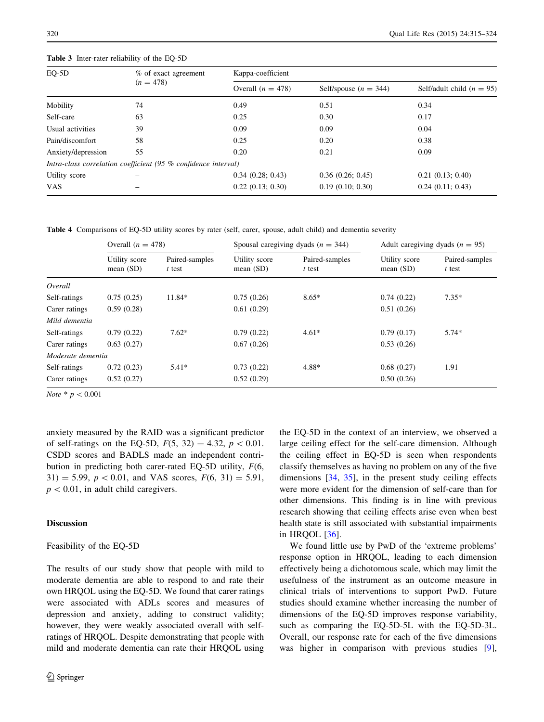| EO-5D              | % of exact agreement                                           | Kappa-coefficient   |                         |                             |
|--------------------|----------------------------------------------------------------|---------------------|-------------------------|-----------------------------|
|                    | $(n = 478)$                                                    | Overall $(n = 478)$ | Self/spouse $(n = 344)$ | Self/adult child $(n = 95)$ |
| Mobility           | 74                                                             | 0.49                | 0.51                    | 0.34                        |
| Self-care          | 63                                                             | 0.25                | 0.30                    | 0.17                        |
| Usual activities   | 39                                                             | 0.09                | 0.09                    | 0.04                        |
| Pain/discomfort    | 58                                                             | 0.25                | 0.20                    | 0.38                        |
| Anxiety/depression | 55                                                             | 0.20                | 0.21                    | 0.09                        |
|                    | Intra-class correlation coefficient (95 % confidence interval) |                     |                         |                             |
| Utility score      |                                                                | 0.34(0.28; 0.43)    | 0.36(0.26; 0.45)        | 0.21(0.13; 0.40)            |
| VAS                |                                                                | 0.22(0.13; 0.30)    | 0.19(0.10; 0.30)        | 0.24(0.11; 0.43)            |
|                    |                                                                |                     |                         |                             |

<span id="page-5-0"></span>Table 3 Inter-rater reliability of the EQ-5D

Table 4 Comparisons of EQ-5D utility scores by rater (self, carer, spouse, adult child) and dementia severity

|                   | Overall $(n = 478)$          |                          |                              | Spousal caregiving dyads ( $n = 344$ ) |                              | Adult caregiving dyads ( $n = 95$ ) |
|-------------------|------------------------------|--------------------------|------------------------------|----------------------------------------|------------------------------|-------------------------------------|
|                   | Utility score<br>mean $(SD)$ | Paired-samples<br>t test | Utility score<br>mean $(SD)$ | Paired-samples<br>t test               | Utility score<br>mean $(SD)$ | Paired-samples<br>t test            |
| Overall           |                              |                          |                              |                                        |                              |                                     |
| Self-ratings      | 0.75(0.25)                   | 11.84*                   | 0.75(0.26)                   | $8.65*$                                | 0.74(0.22)                   | $7.35*$                             |
| Carer ratings     | 0.59(0.28)                   |                          | 0.61(0.29)                   |                                        | 0.51(0.26)                   |                                     |
| Mild dementia     |                              |                          |                              |                                        |                              |                                     |
| Self-ratings      | 0.79(0.22)                   | $7.62*$                  | 0.79(0.22)                   | $4.61*$                                | 0.79(0.17)                   | $5.74*$                             |
| Carer ratings     | 0.63(0.27)                   |                          | 0.67(0.26)                   |                                        | 0.53(0.26)                   |                                     |
| Moderate dementia |                              |                          |                              |                                        |                              |                                     |
| Self-ratings      | 0.72(0.23)                   | $5.41*$                  | 0.73(0.22)                   | 4.88*                                  | 0.68(0.27)                   | 1.91                                |
| Carer ratings     | 0.52(0.27)                   |                          | 0.52(0.29)                   |                                        | 0.50(0.26)                   |                                     |

*Note*  $*$   $p < 0.001$ 

anxiety measured by the RAID was a significant predictor of self-ratings on the EQ-5D,  $F(5, 32) = 4.32, p < 0.01$ . CSDD scores and BADLS made an independent contribution in predicting both carer-rated EQ-5D utility, F(6,  $31) = 5.99$ ,  $p < 0.01$ , and VAS scores,  $F(6, 31) = 5.91$ ,  $p<0.01$ , in adult child caregivers.

# Discussion

#### Feasibility of the EQ-5D

The results of our study show that people with mild to moderate dementia are able to respond to and rate their own HRQOL using the EQ-5D. We found that carer ratings were associated with ADLs scores and measures of depression and anxiety, adding to construct validity; however, they were weakly associated overall with selfratings of HRQOL. Despite demonstrating that people with mild and moderate dementia can rate their HRQOL using the EQ-5D in the context of an interview, we observed a large ceiling effect for the self-care dimension. Although the ceiling effect in EQ-5D is seen when respondents classify themselves as having no problem on any of the five dimensions [[34,](#page-9-0) [35\]](#page-9-0), in the present study ceiling effects were more evident for the dimension of self-care than for other dimensions. This finding is in line with previous research showing that ceiling effects arise even when best health state is still associated with substantial impairments in HRQOL [\[36](#page-9-0)].

We found little use by PwD of the 'extreme problems' response option in HRQOL, leading to each dimension effectively being a dichotomous scale, which may limit the usefulness of the instrument as an outcome measure in clinical trials of interventions to support PwD. Future studies should examine whether increasing the number of dimensions of the EQ-5D improves response variability, such as comparing the EQ-5D-5L with the EQ-5D-3L. Overall, our response rate for each of the five dimensions was higher in comparison with previous studies [\[9](#page-8-0)],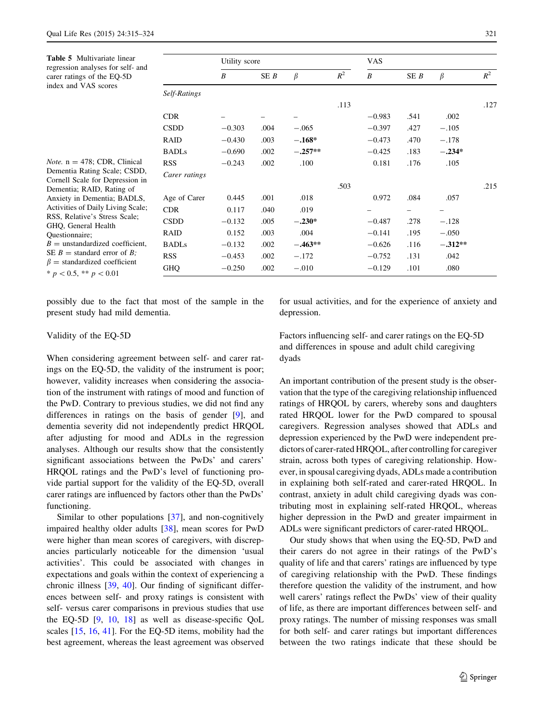<span id="page-6-0"></span>Table 5 Multivariate linear regression analyses for self- and carer ratings of the EQ-5D index and VAS scores

Note.  $n = 478$ ; CDR, Clinical Dementia Rating Scale; CSDD,

|               | Utility score |      |           |       | <b>VAS</b>       |      |           |       |
|---------------|---------------|------|-----------|-------|------------------|------|-----------|-------|
|               | B             | SE B | $\beta$   | $R^2$ | $\boldsymbol{B}$ | SE B | $\beta$   | $R^2$ |
| Self-Ratings  |               |      |           |       |                  |      |           |       |
|               |               |      |           | .113  |                  |      |           | .127  |
| <b>CDR</b>    |               |      |           |       | $-0.983$         | .541 | .002      |       |
| <b>CSDD</b>   | $-0.303$      | .004 | $-.065$   |       | $-0.397$         | .427 | $-.105$   |       |
| <b>RAID</b>   | $-0.430$      | .003 | $-.168*$  |       | $-0.473$         | .470 | $-.178$   |       |
| <b>BADLs</b>  | $-0.690$      | .002 | $-.257**$ |       | $-0.425$         | .183 | $-.234*$  |       |
| <b>RSS</b>    | $-0.243$      | .002 | .100      |       | 0.181            | .176 | .105      |       |
| Carer ratings |               |      |           |       |                  |      |           |       |
|               |               |      |           | .503  |                  |      |           | .215  |
| Age of Carer  | 0.445         | .001 | .018      |       | 0.972            | .084 | .057      |       |
| <b>CDR</b>    | 0.117         | .040 | .019      |       |                  | -    | -         |       |
| <b>CSDD</b>   | $-0.132$      | .005 | $-.230*$  |       | $-0.487$         | .278 | $-.128$   |       |
| <b>RAID</b>   | 0.152         | .003 | .004      |       | $-0.141$         | .195 | $-.050$   |       |
| <b>BADLs</b>  | $-0.132$      | .002 | $-.463**$ |       | $-0.626$         | .116 | $-.312**$ |       |
| <b>RSS</b>    | $-0.453$      | .002 | $-.172$   |       | $-0.752$         | .131 | .042      |       |
| <b>GHQ</b>    | $-0.250$      | .002 | $-.010$   |       | $-0.129$         | .101 | .080      |       |

Cornell Scale for Depression in Dementia; RAID, Rating of Anxiety in Dementia; BADLS, Activities of Daily Living Scale; RSS, Relative's Stress Scale; GHQ, General Health Questionnaire;  $B =$  unstandardized coefficient, SE  $B =$  standard error of  $B$ ;  $\beta$  = standardized coefficient  $* p < 0.5, ** p < 0.01$ 

possibly due to the fact that most of the sample in the present study had mild dementia.

for usual activities, and for the experience of anxiety and depression.

# Validity of the EQ-5D

When considering agreement between self- and carer ratings on the EQ-5D, the validity of the instrument is poor; however, validity increases when considering the association of the instrument with ratings of mood and function of the PwD. Contrary to previous studies, we did not find any differences in ratings on the basis of gender [\[9](#page-8-0)], and dementia severity did not independently predict HRQOL after adjusting for mood and ADLs in the regression analyses. Although our results show that the consistently significant associations between the PwDs' and carers' HRQOL ratings and the PwD's level of functioning provide partial support for the validity of the EQ-5D, overall carer ratings are influenced by factors other than the PwDs' functioning.

Similar to other populations [\[37](#page-9-0)], and non-cognitively impaired healthy older adults [[38\]](#page-9-0), mean scores for PwD were higher than mean scores of caregivers, with discrepancies particularly noticeable for the dimension 'usual activities'. This could be associated with changes in expectations and goals within the context of experiencing a chronic illness [[39,](#page-9-0) [40](#page-9-0)]. Our finding of significant differences between self- and proxy ratings is consistent with self- versus carer comparisons in previous studies that use the EQ-5D [[9](#page-8-0), [10](#page-8-0), [18\]](#page-9-0) as well as disease-specific QoL scales [\[15](#page-8-0), [16,](#page-8-0) [41](#page-9-0)]. For the EQ-5D items, mobility had the best agreement, whereas the least agreement was observed Factors influencing self- and carer ratings on the EQ-5D and differences in spouse and adult child caregiving dyads

An important contribution of the present study is the observation that the type of the caregiving relationship influenced ratings of HRQOL by carers, whereby sons and daughters rated HRQOL lower for the PwD compared to spousal caregivers. Regression analyses showed that ADLs and depression experienced by the PwD were independent predictors of carer-rated HRQOL, after controlling for caregiver strain, across both types of caregiving relationship. However, in spousal caregiving dyads, ADLs made a contribution in explaining both self-rated and carer-rated HRQOL. In contrast, anxiety in adult child caregiving dyads was contributing most in explaining self-rated HRQOL, whereas higher depression in the PwD and greater impairment in ADLs were significant predictors of carer-rated HRQOL.

Our study shows that when using the EQ-5D, PwD and their carers do not agree in their ratings of the PwD's quality of life and that carers' ratings are influenced by type of caregiving relationship with the PwD. These findings therefore question the validity of the instrument, and how well carers' ratings reflect the PwDs' view of their quality of life, as there are important differences between self- and proxy ratings. The number of missing responses was small for both self- and carer ratings but important differences between the two ratings indicate that these should be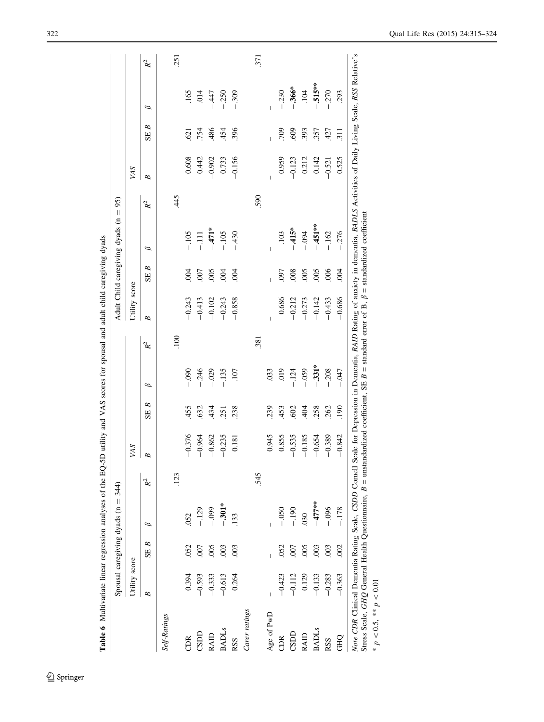|                 |               |                  | Spousal caregiving dyads $(n =$ | 344)  |          |         |          |             |               |            | Adult Child caregiving dyads $(n = 95)$ |                |            |                      |           |       |
|-----------------|---------------|------------------|---------------------------------|-------|----------|---------|----------|-------------|---------------|------------|-----------------------------------------|----------------|------------|----------------------|-----------|-------|
|                 | Utility score |                  |                                 |       | VAS      |         |          |             | Utility score |            |                                         |                | <b>VAS</b> |                      |           |       |
|                 | B             | B<br>SE          | $\beta$                         | $R^2$ | B        | B<br>SE | $\beta$  | $R^2$       | B             | B<br>SE    | $\beta$                                 | $\mathbb{R}^2$ | B          | B<br>SE <sub>1</sub> | $\beta$   | $R^2$ |
| Self-Ratings    |               |                  |                                 |       |          |         |          |             |               |            |                                         |                |            |                      |           |       |
|                 |               |                  |                                 | .123  |          |         |          | <b>.100</b> |               |            |                                         | 445            |            |                      |           | .251  |
| CDR <sub></sub> | 0.394         | .052             | 052                             |       | $-0.376$ | 455     | $-0.090$ |             | $-0.243$      | 004        | $-105$                                  |                | 0.608      | 621                  | 165       |       |
| CSDD            | $-0.593$      | $.007$           | $-129$                          |       | $-0.964$ | 632     | $-0.246$ |             | $-0.413$      | 007        | $-111$                                  |                | 0.442      | .754                 | .014      |       |
| RAID            | $-0.333$      | .005             | $-0.099$                        |       | $-0.862$ | 434     | $-0.29$  |             | $-0.102$      | 005        | $-471*$                                 |                | $-0.902$   | 486                  | $-447$    |       |
| <b>BADLS</b>    | $-0.613$      | .003             | $-301*$                         |       | $-0.235$ | 251     | $-135$   |             | $-0.243$      | 004        | $-.105$                                 |                | 0.733      | 454                  | $-0.250$  |       |
| RSS             | 0.264         | $\overline{0}$   | 133                             |       | 0.181    | 238     | 107      |             | $-0.858$      | 004        | $-430$                                  |                | $-0.156$   | 396                  | $-.309$   |       |
| Carer ratings   |               |                  |                                 |       |          |         |          |             |               |            |                                         |                |            |                      |           |       |
|                 |               |                  |                                 | 545   |          |         |          | .381        |               |            |                                         | 590            |            |                      |           | 371   |
| Age of PwD      | I             |                  |                                 |       | 0.945    | 239     | 033      |             |               |            | $\overline{1}$                          |                |            |                      |           |       |
| CDR             | $-0.423$      | .052             | $-0.050$                        |       | 0.855    | 453     | 019      |             | 0.686         | <b>L60</b> | .103                                    |                | 0.959      | 709                  | $-0.230$  |       |
| CSDD            | $-0.112$      | 007              | $-190$                          |       | $-0.535$ | 602     | $-124$   |             | $-0.212$      | .008       | $-415*$                                 |                | $-0.123$   | 609                  | $-.366*$  |       |
| RAID            | 0.129         | .005             | 030                             |       | $-0.185$ | 404     | $-0.59$  |             | $-0.273$      | 005        | $-0.04$                                 |                | 0.212      | 393                  | .104      |       |
| <b>BADLS</b>    | $-0.133$      | .003             | $-477$ **                       |       | $-0.654$ | 258     | $-331*$  |             | $-0.142$      | 005        | $-451**$                                |                | 0.142      | 357                  | $-.515**$ |       |
| RSS             | $-0.283$      | $\overline{003}$ | $-0.096$                        |       | $-0.389$ | 262     | $-208$   |             | $-0.433$      | 006        | $-.162$                                 |                | $-0.521$   | 427                  | $-.270$   |       |
| <b>GHO</b>      | $-0.363$      | $\overline{002}$ | $-178$                          |       | $-0.842$ | 190     | $-0.47$  |             | $-0.686$      | 004        | $-.276$                                 |                | 0.525      | 311                  | 293       |       |

<span id="page-7-0"></span>

 $* p < 0.5, ** p < 0.01$ \*  $p < 0.5$ , \*\*  $p < 0.01$ 

 $\underline{\textcircled{\tiny 2}}$  Springer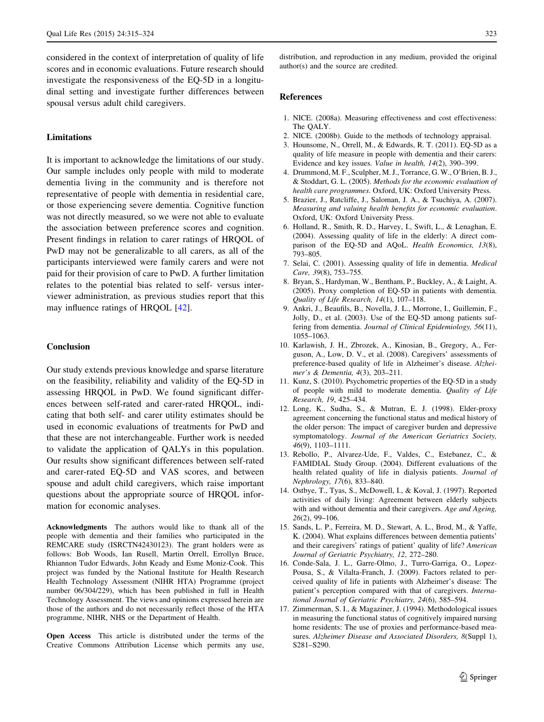<span id="page-8-0"></span>considered in the context of interpretation of quality of life scores and in economic evaluations. Future research should investigate the responsiveness of the EQ-5D in a longitudinal setting and investigate further differences between spousal versus adult child caregivers.

# Limitations

It is important to acknowledge the limitations of our study. Our sample includes only people with mild to moderate dementia living in the community and is therefore not representative of people with dementia in residential care, or those experiencing severe dementia. Cognitive function was not directly measured, so we were not able to evaluate the association between preference scores and cognition. Present findings in relation to carer ratings of HRQOL of PwD may not be generalizable to all carers, as all of the participants interviewed were family carers and were not paid for their provision of care to PwD. A further limitation relates to the potential bias related to self- versus interviewer administration, as previous studies report that this may influence ratings of HRQOL [[42\]](#page-9-0).

#### Conclusion

Our study extends previous knowledge and sparse literature on the feasibility, reliability and validity of the EQ-5D in assessing HRQOL in PwD. We found significant differences between self-rated and carer-rated HRQOL, indicating that both self- and carer utility estimates should be used in economic evaluations of treatments for PwD and that these are not interchangeable. Further work is needed to validate the application of QALYs in this population. Our results show significant differences between self-rated and carer-rated EQ-5D and VAS scores, and between spouse and adult child caregivers, which raise important questions about the appropriate source of HRQOL information for economic analyses.

Acknowledgments The authors would like to thank all of the people with dementia and their families who participated in the REMCARE study (ISRCTN42430123). The grant holders were as follows: Bob Woods, Ian Rusell, Martin Orrell, Errollyn Bruce, Rhiannon Tudor Edwards, John Keady and Esme Moniz-Cook. This project was funded by the National Institute for Health Research Health Technology Assessment (NIHR HTA) Programme (project number 06/304/229), which has been published in full in Health Technology Assessment. The views and opinions expressed herein are those of the authors and do not necessarily reflect those of the HTA programme, NIHR, NHS or the Department of Health.

Open Access This article is distributed under the terms of the Creative Commons Attribution License which permits any use,

distribution, and reproduction in any medium, provided the original author(s) and the source are credited.

#### References

- 1. NICE. (2008a). Measuring effectiveness and cost effectiveness: The QALY.
- 2. NICE. (2008b). Guide to the methods of technology appraisal.
- 3. Hounsome, N., Orrell, M., & Edwards, R. T. (2011). EQ-5D as a quality of life measure in people with dementia and their carers: Evidence and key issues. Value in health, 14(2), 390–399.
- 4. Drummond, M. F., Sculpher, M. J., Torrance, G. W., O'Brien, B. J., & Stoddart, G. L. (2005). Methods for the economic evaluation of health care programmes. Oxford, UK: Oxford University Press.
- 5. Brazier, J., Ratcliffe, J., Saloman, J. A., & Tsuchiya, A. (2007). Measuring and valuing health benefits for economic evaluation. Oxford, UK: Oxford University Press.
- 6. Holland, R., Smith, R. D., Harvey, I., Swift, L., & Lenaghan, E. (2004). Assessing quality of life in the elderly: A direct comparison of the EQ-5D and AQoL. Health Economics, 13(8), 793–805.
- 7. Selai, C. (2001). Assessing quality of life in dementia. Medical Care, 39(8), 753–755.
- 8. Bryan, S., Hardyman, W., Bentham, P., Buckley, A., & Laight, A. (2005). Proxy completion of EQ-5D in patients with dementia. Quality of Life Research, 14(1), 107–118.
- 9. Ankri, J., Beaufils, B., Novella, J. L., Morrone, I., Guillemin, F., Jolly, D., et al. (2003). Use of the EQ-5D among patients suffering from dementia. Journal of Clinical Epidemiology, 56(11), 1055–1063.
- 10. Karlawish, J. H., Zbrozek, A., Kinosian, B., Gregory, A., Ferguson, A., Low, D. V., et al. (2008). Caregivers' assessments of preference-based quality of life in Alzheimer's disease. Alzheimer's & Dementia, 4(3), 203–211.
- 11. Kunz, S. (2010). Psychometric properties of the EQ-5D in a study of people with mild to moderate dementia. Quality of Life Research, 19, 425–434.
- 12. Long, K., Sudha, S., & Mutran, E. J. (1998). Elder-proxy agreement concerning the functional status and medical history of the older person: The impact of caregiver burden and depressive symptomatology. Journal of the American Geriatrics Society, 46(9), 1103–1111.
- 13. Rebollo, P., Alvarez-Ude, F., Valdes, C., Estebanez, C., & FAMIDIAL Study Group. (2004). Different evaluations of the health related quality of life in dialysis patients. Journal of Nephrology, 17(6), 833–840.
- 14. Ostbye, T., Tyas, S., McDowell, I., & Koval, J. (1997). Reported activities of daily living: Agreement between elderly subjects with and without dementia and their caregivers. Age and Ageing, 26(2), 99–106.
- 15. Sands, L. P., Ferreira, M. D., Stewart, A. L., Brod, M., & Yaffe, K. (2004). What explains differences between dementia patients' and their caregivers' ratings of patient' quality of life? American Journal of Geriatric Psychiatry, 12, 272–280.
- 16. Conde-Sala, J. L., Garre-Olmo, J., Turro-Garriga, O., Lopez-Pousa, S., & Vilalta-Franch, J. (2009). Factors related to perceived quality of life in patients with Alzheimer's disease: The patient's perception compared with that of caregivers. International Journal of Geriatric Psychiatry, 24(6), 585–594.
- 17. Zimmerman, S. I., & Magaziner, J. (1994). Methodological issues in measuring the functional status of cognitively impaired nursing home residents: The use of proxies and performance-based measures. Alzheimer Disease and Associated Disorders, 8(Suppl 1), S281–S290.